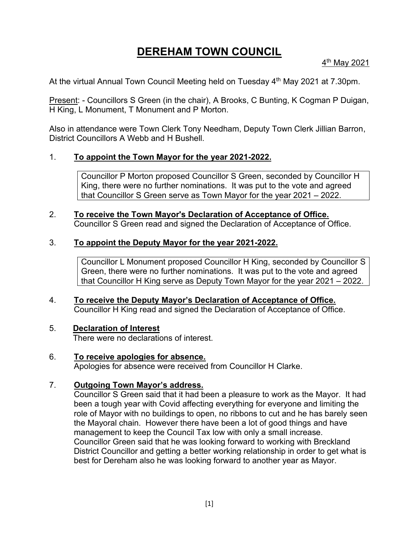# **DEREHAM TOWN COUNCIL**

4 th May 2021

At the virtual Annual Town Council Meeting held on Tuesday 4<sup>th</sup> May 2021 at 7.30pm.

Present: - Councillors S Green (in the chair), A Brooks, C Bunting, K Cogman P Duigan, H King, L Monument, T Monument and P Morton.

Also in attendance were Town Clerk Tony Needham, Deputy Town Clerk Jillian Barron, District Councillors A Webb and H Bushell.

# 1. **To appoint the Town Mayor for the year 2021-2022.**

Councillor P Morton proposed Councillor S Green, seconded by Councillor H King, there were no further nominations. It was put to the vote and agreed that Councillor S Green serve as Town Mayor for the year 2021 – 2022.

# 2. **To receive the Town Mayor's Declaration of Acceptance of Office.** Councillor S Green read and signed the Declaration of Acceptance of Office.

# 3. **To appoint the Deputy Mayor for the year 2021-2022.**

Councillor L Monument proposed Councillor H King, seconded by Councillor S Green, there were no further nominations. It was put to the vote and agreed that Councillor H King serve as Deputy Town Mayor for the year 2021 – 2022.

4. **To receive the Deputy Mayor's Declaration of Acceptance of Office.** Councillor H King read and signed the Declaration of Acceptance of Office.

## 5. **Declaration of Interest**

There were no declarations of interest.

6. **To receive apologies for absence.** Apologies for absence were received from Councillor H Clarke.

# 7. **Outgoing Town Mayor's address.**

Councillor S Green said that it had been a pleasure to work as the Mayor. It had been a tough year with Covid affecting everything for everyone and limiting the role of Mayor with no buildings to open, no ribbons to cut and he has barely seen the Mayoral chain. However there have been a lot of good things and have management to keep the Council Tax low with only a small increase. Councillor Green said that he was looking forward to working with Breckland District Councillor and getting a better working relationship in order to get what is best for Dereham also he was looking forward to another year as Mayor.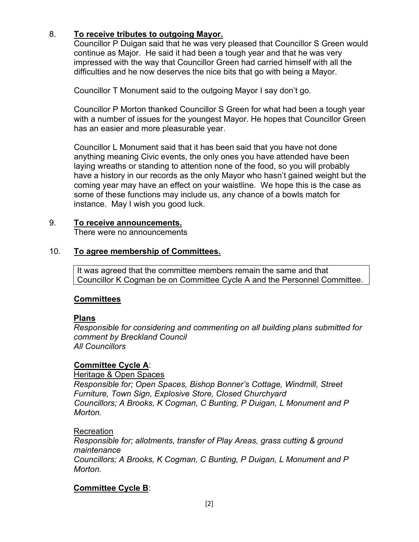# 8. **To receive tributes to outgoing Mayor.**

Councillor P Duigan said that he was very pleased that Councillor S Green would continue as Major. He said it had been a tough year and that he was very impressed with the way that Councillor Green had carried himself with all the difficulties and he now deserves the nice bits that go with being a Mayor.

Councillor T Monument said to the outgoing Mayor I say don't go.

Councillor P Morton thanked Councillor S Green for what had been a tough year with a number of issues for the youngest Mayor. He hopes that Councillor Green has an easier and more pleasurable year.

Councillor L Monument said that it has been said that you have not done anything meaning Civic events, the only ones you have attended have been laying wreaths or standing to attention none of the food, so you will probably have a history in our records as the only Mayor who hasn't gained weight but the coming year may have an effect on your waistline. We hope this is the case as some of these functions may include us, any chance of a bowls match for instance. May I wish you good luck.

# 9. **To receive announcements.**

There were no announcements

## 10. **To agree membership of Committees.**

It was agreed that the committee members remain the same and that Councillor K Cogman be on Committee Cycle A and the Personnel Committee.

## **Committees**

#### **Plans**

*Responsible for considering and commenting on all building plans submitted for comment by Breckland Council All Councillors*

## **Committee Cycle A**:

Heritage & Open Spaces *Responsible for; Open Spaces, Bishop Bonner's Cottage, Windmill, Street Furniture, Town Sign, Explosive Store, Closed Churchyard Councillors; A Brooks, K Cogman, C Bunting, P Duigan, L Monument and P Morton.*

#### Recreation

*Responsible for; allotments, transfer of Play Areas, grass cutting & ground maintenance Councillors; A Brooks, K Cogman, C Bunting, P Duigan, L Monument and P* 

*Morton.*

## **Committee Cycle B**: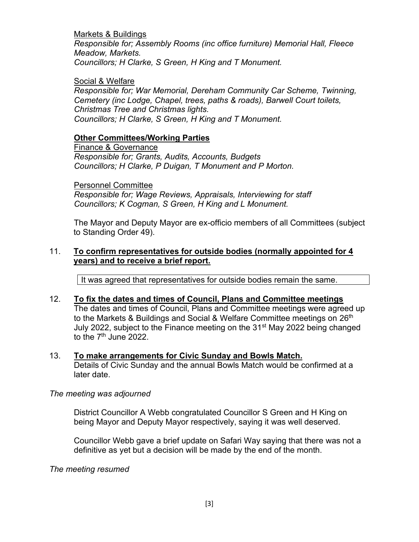#### Markets & Buildings

*Responsible for; Assembly Rooms (inc office furniture) Memorial Hall, Fleece Meadow, Markets. Councillors; H Clarke, S Green, H King and T Monument.*

### Social & Welfare

*Responsible for; War Memorial, Dereham Community Car Scheme, Twinning, Cemetery (inc Lodge, Chapel, trees, paths & roads), Barwell Court toilets, Christmas Tree and Christmas lights. Councillors; H Clarke, S Green, H King and T Monument.*

## **Other Committees/Working Parties**

Finance & Governance *Responsible for; Grants, Audits, Accounts, Budgets Councillors; H Clarke, P Duigan, T Monument and P Morton.*

Personnel Committee *Responsible for; Wage Reviews, Appraisals, Interviewing for staff Councillors; K Cogman, S Green, H King and L Monument.*

The Mayor and Deputy Mayor are ex-officio members of all Committees (subject to Standing Order 49).

## 11. **To confirm representatives for outside bodies (normally appointed for 4 years) and to receive a brief report.**

It was agreed that representatives for outside bodies remain the same.

## 12. **To fix the dates and times of Council, Plans and Committee meetings**  The dates and times of Council, Plans and Committee meetings were agreed up to the Markets & Buildings and Social & Welfare Committee meetings on 26<sup>th</sup> July 2022, subject to the Finance meeting on the 31<sup>st</sup> May 2022 being changed to the  $7<sup>th</sup>$  June 2022.

#### 13. **To make arrangements for Civic Sunday and Bowls Match.** Details of Civic Sunday and the annual Bowls Match would be confirmed at a later date.

#### *The meeting was adjourned*

District Councillor A Webb congratulated Councillor S Green and H King on being Mayor and Deputy Mayor respectively, saying it was well deserved.

Councillor Webb gave a brief update on Safari Way saying that there was not a definitive as yet but a decision will be made by the end of the month.

*The meeting resumed*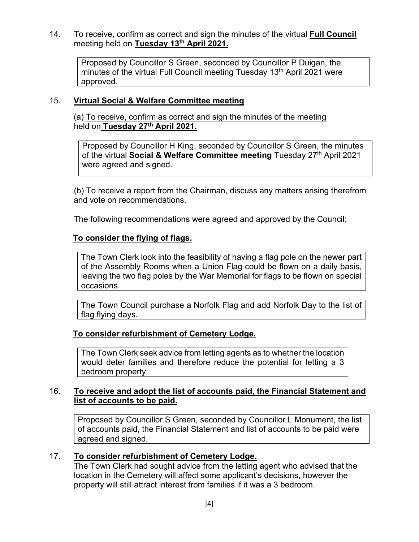14. To receive, confirm as correct and sign the minutes of the virtual **Full Council** meeting held on **Tuesday 13th April 2021.**

Proposed by Councillor S Green, seconded by Councillor P Duigan, the minutes of the virtual Full Council meeting Tuesday 13<sup>th</sup> April 2021 were approved.

## 15. **Virtual Social & Welfare Committee meeting**

(a) To receive, confirm as correct and sign the minutes of the meeting held on **Tuesday 27th April 2021.**

Proposed by Councillor H King, seconded by Councillor S Green, the minutes of the virtual **Social & Welfare Committee meeting** Tuesday 27th April 2021 were agreed and signed.

(b) To receive a report from the Chairman, discuss any matters arising therefrom and vote on recommendations.

The following recommendations were agreed and approved by the Council:

## **To consider the flying of flags.**

The Town Clerk look into the feasibility of having a flag pole on the newer part of the Assembly Rooms when a Union Flag could be flown on a daily basis, leaving the two flag poles by the War Memorial for flags to be flown on special occasions.

The Town Council purchase a Norfolk Flag and add Norfolk Day to the list of flag flying days.

## **To consider refurbishment of Cemetery Lodge.**

The Town Clerk seek advice from letting agents as to whether the location would deter families and therefore reduce the potential for letting a 3 bedroom property.

# 16. **To receive and adopt the list of accounts paid, the Financial Statement and list of accounts to be paid.**

Proposed by Councillor S Green, seconded by Councillor L Monument, the list of accounts paid, the Financial Statement and list of accounts to be paid were agreed and signed.

## 17. **To consider refurbishment of Cemetery Lodge.**

The Town Clerk had sought advice from the letting agent who advised that the location in the Cemetery will affect some applicant's decisions, however the property will still attract interest from families if it was a 3 bedroom.